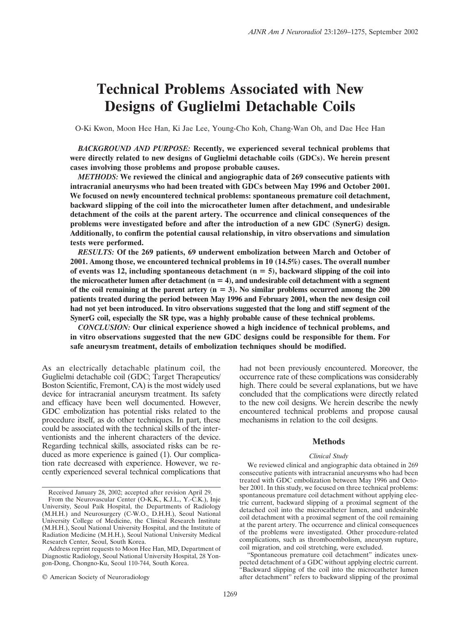# **Technical Problems Associated with New Designs of Guglielmi Detachable Coils**

O-Ki Kwon, Moon Hee Han, Ki Jae Lee, Young-Cho Koh, Chang-Wan Oh, and Dae Hee Han

*BACKGROUND AND PURPOSE:* **Recently, we experienced several technical problems that were directly related to new designs of Guglielmi detachable coils (GDCs). We herein present cases involving those problems and propose probable causes.**

*METHODS:* **We reviewed the clinical and angiographic data of 269 consecutive patients with intracranial aneurysms who had been treated with GDCs between May 1996 and October 2001. We focused on newly encountered technical problems: spontaneous premature coil detachment, backward slipping of the coil into the microcatheter lumen after detachment, and undesirable detachment of the coils at the parent artery. The occurrence and clinical consequences of the problems were investigated before and after the introduction of a new GDC (SynerG) design. Additionally, to confirm the potential causal relationship, in vitro observations and simulation tests were performed.**

*RESULTS:* **Of the 269 patients, 69 underwent embolization between March and October of 2001. Among those, we encountered technical problems in 10 (14.5%) cases. The overall number of events was 12, including spontaneous detachment (n 5), backward slipping of the coil into** the microcatheter lumen after detachment  $(n = 4)$ , and undesirable coil detachment with a segment of the coil remaining at the parent artery  $(n = 3)$ . No similar problems occurred among the 200 **patients treated during the period between May 1996 and February 2001, when the new design coil had not yet been introduced. In vitro observations suggested that the long and stiff segment of the SynerG coil, especially the SR type, was a highly probable cause of these technical problems.**

*CONCLUSION:* **Our clinical experience showed a high incidence of technical problems, and in vitro observations suggested that the new GDC designs could be responsible for them. For safe aneurysm treatment, details of embolization techniques should be modified.**

As an electrically detachable platinum coil, the Guglielmi detachable coil (GDC; Target Therapeutics/ Boston Scientific, Fremont, CA) is the most widely used device for intracranial aneurysm treatment. Its safety and efficacy have been well documented. However, GDC embolization has potential risks related to the procedure itself, as do other techniques. In part, these could be associated with the technical skills of the interventionists and the inherent characters of the device. Regarding technical skills, associated risks can be reduced as more experience is gained (1). Our complication rate decreased with experience. However, we recently experienced several technical complications that had not been previously encountered. Moreover, the occurrence rate of these complications was considerably high. There could be several explanations, but we have concluded that the complications were directly related to the new coil designs. We herein describe the newly encountered technical problems and propose causal mechanisms in relation to the coil designs.

#### **Methods**

#### *Clinical Study*

We reviewed clinical and angiographic data obtained in 269 consecutive patients with intracranial aneurysms who had been treated with GDC embolization between May 1996 and October 2001. In this study, we focused on three technical problems: spontaneous premature coil detachment without applying electric current, backward slipping of a proximal segment of the detached coil into the microcatheter lumen, and undesirable coil detachment with a proximal segment of the coil remaining at the parent artery. The occurrence and clinical consequences of the problems were investigated. Other procedure-related complications, such as thromboembolism, aneurysm rupture, coil migration, and coil stretching, were excluded.

"Spontaneous premature coil detachment" indicates unexpected detachment of a GDC without applying electric current. "Backward slipping of the coil into the microcatheter lumen after detachment" refers to backward slipping of the proximal

Received January 28, 2002; accepted after revision April 29.

From the Neurovascular Center (O-K.K., K.J.L., Y.-C.K.), Inje University, Seoul Paik Hospital, the Departments of Radiology (M.H.H.) and Neurosurgery (C-W.O., D.H.H.), Seoul National University College of Medicine, the Clinical Research Institute (M.H.H.), Seoul National University Hospital, and the Institute of Radiation Medicine (M.H.H.), Seoul National University Medical Research Center, Seoul, South Korea.

Address reprint requests to Moon Hee Han, MD, Department of Diagnostic Radiology, Seoul National University Hospital, 28 Yongon-Dong, Chongno-Ku, Seoul 110-744, South Korea.

<sup>©</sup> American Society of Neuroradiology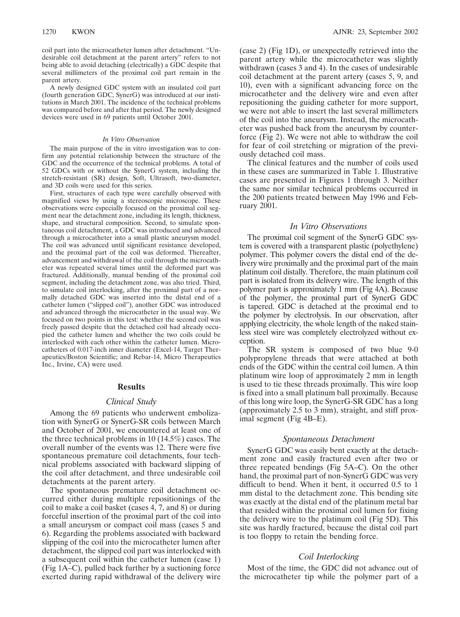coil part into the microcatheter lumen after detachment. "Undesirable coil detachment at the parent artery" refers to not being able to avoid detaching (electrically) a GDC despite that several millimeters of the proximal coil part remain in the parent artery.

A newly designed GDC system with an insulated coil part (fourth generation GDC, SynerG) was introduced at our institutions in March 2001. The incidence of the technical problems was compared before and after that period. The newly designed devices were used in 69 patients until October 2001.

#### *In Vitro Observation*

The main purpose of the in vitro investigation was to confirm any potential relationship between the structure of the GDC and the occurrence of the technical problems. A total of 52 GDCs with or without the SynerG system, including the stretch-resistant (SR) design, Soft, Ultrasoft, two-diameter, and 3D coils were used for this series.

First, structures of each type were carefully observed with magnified views by using a stereoscopic microscope. These observations were especially focused on the proximal coil segment near the detachment zone, including its length, thickness, shape, and structural composition. Second, to simulate spontaneous coil detachment, a GDC was introduced and advanced through a microcatheter into a small plastic aneurysm model. The coil was advanced until significant resistance developed, and the proximal part of the coil was deformed. Thereafter, advancement and withdrawal of the coil through the microcatheter was repeated several times until the deformed part was fractured. Additionally, manual bending of the proximal coil segment, including the detachment zone, was also tried. Third, to simulate coil interlocking, after the proximal part of a normally detached GDC was inserted into the distal end of a catheter lumen ("slipped coil"), another GDC was introduced and advanced through the microcatheter in the usual way. We focused on two points in this test: whether the second coil was freely passed despite that the detached coil had already occupied the catheter lumen and whether the two coils could be interlocked with each other within the catheter lumen. Microcatheters of 0.017-inch inner diameter (Excel-14, Target Therapeutics/Boston Scientific; and Rebar-14, Micro Therapeutics Inc., Irvine, CA) were used.

### **Results**

#### *Clinical Study*

Among the 69 patients who underwent embolization with SynerG or SynerG-SR coils between March and October of 2001, we encountered at least one of the three technical problems in 10 (14.5%) cases. The overall number of the events was 12. There were five spontaneous premature coil detachments, four technical problems associated with backward slipping of the coil after detachment, and three undesirable coil detachments at the parent artery.

The spontaneous premature coil detachment occurred either during multiple repositionings of the coil to make a coil basket (cases 4, 7, and 8) or during forceful insertion of the proximal part of the coil into a small aneurysm or compact coil mass (cases 5 and 6). Regarding the problems associated with backward slipping of the coil into the microcatheter lumen after detachment, the slipped coil part was interlocked with a subsequent coil within the catheter lumen (case 1) (Fig 1A–C), pulled back further by a suctioning force exerted during rapid withdrawal of the delivery wire (case 2) (Fig 1D), or unexpectedly retrieved into the parent artery while the microcatheter was slightly withdrawn (cases 3 and 4). In the cases of undesirable coil detachment at the parent artery (cases 5, 9, and 10), even with a significant advancing force on the microcatheter and the delivery wire and even after repositioning the guiding catheter for more support, we were not able to insert the last several millimeters of the coil into the aneurysm. Instead, the microcatheter was pushed back from the aneurysm by counterforce (Fig 2). We were not able to withdraw the coil for fear of coil stretching or migration of the previously detached coil mass.

The clinical features and the number of coils used in these cases are summarized in Table 1. Illustrative cases are presented in Figures 1 through 3. Neither the same nor similar technical problems occurred in the 200 patients treated between May 1996 and February 2001.

# *In Vitro Observations*

The proximal coil segment of the SynerG GDC system is covered with a transparent plastic (polyethylene) polymer. This polymer covers the distal end of the delivery wire proximally and the proximal part of the main platinum coil distally. Therefore, the main platinum coil part is isolated from its delivery wire. The length of this polymer part is approximately 1 mm (Fig 4A). Because of the polymer, the proximal part of SynerG GDC is tapered. GDC is detached at the proximal end to the polymer by electrolysis. In our observation, after applying electricity, the whole length of the naked stainless steel wire was completely electrolyzed without exception.

The SR system is composed of two blue 9-0 polypropylene threads that were attached at both ends of the GDC within the central coil lumen. A thin platinum wire loop of approximately 2 mm in length is used to tie these threads proximally. This wire loop is fixed into a small platinum ball proximally. Because of this long wire loop, the SynerG-SR GDC has a long (approximately 2.5 to 3 mm), straight, and stiff proximal segment (Fig 4B–E).

### *Spontaneous Detachment*

SynerG GDC was easily bent exactly at the detachment zone and easily fractured even after two or three repeated bendings (Fig 5A–C). On the other hand, the proximal part of non-SynerG GDC was very difficult to bend. When it bent, it occurred 0.5 to 1 mm distal to the detachment zone. This bending site was exactly at the distal end of the platinum metal bar that resided within the proximal coil lumen for fixing the delivery wire to the platinum coil (Fig 5D). This site was hardly fractured, because the distal coil part is too floppy to retain the bending force.

## *Coil Interlocking*

Most of the time, the GDC did not advance out of the microcatheter tip while the polymer part of a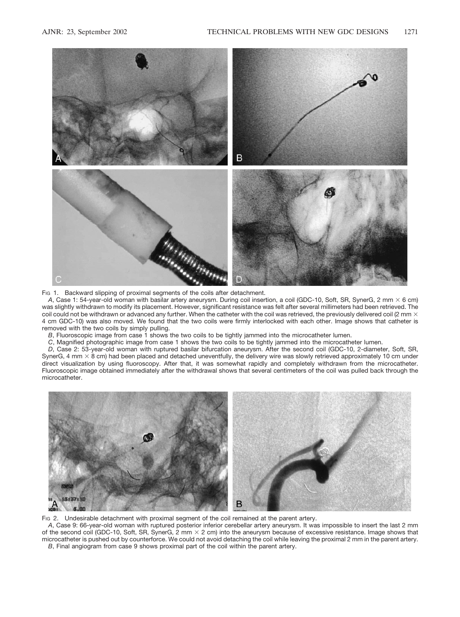

Fig 1. Backward slipping of proximal segments of the coils after detachment.

A, Case 1: 54-year-old woman with basilar artery aneurysm. During coil insertion, a coil (GDC-10, Soft, SR, SynerG, 2 mm  $\times$  6 cm) was slightly withdrawn to modify its placement. However, significant resistance was felt after several millimeters had been retrieved. The coil could not be withdrawn or advanced any further. When the catheter with the coil was retrieved, the previously delivered coil (2 mm  $\times$ 4 cm GDC-10) was also moved. We found that the two coils were firmly interlocked with each other. Image shows that catheter is removed with the two coils by simply pulling.

*B*, Fluoroscopic image from case 1 shows the two coils to be tightly jammed into the microcatheter lumen.

*C*, Magnified photographic image from case 1 shows the two coils to be tightly jammed into the microcatheter lumen.

*D*, Case 2: 53-year-old woman with ruptured basilar bifurcation aneurysm. After the second coil (GDC-10, 2-diameter, Soft, SR, SynerG, 4 mm  $\times$  8 cm) had been placed and detached uneventfully, the delivery wire was slowly retrieved approximately 10 cm under direct visualization by using fluoroscopy. After that, it was somewhat rapidly and completely withdrawn from the microcatheter. Fluoroscopic image obtained immediately after the withdrawal shows that several centimeters of the coil was pulled back through the microcatheter.

![](_page_2_Figure_8.jpeg)

Fig 2. Undesirable detachment with proximal segment of the coil remained at the parent artery.

*A*, Case 9: 66-year-old woman with ruptured posterior inferior cerebellar artery aneurysm. It was impossible to insert the last 2 mm of the second coil (GDC-10, Soft, SR, SynerG, 2 mm  $\times$  2 cm) into the aneurysm because of excessive resistance. Image shows that microcatheter is pushed out by counterforce. We could not avoid detaching the coil while leaving the proximal 2 mm in the parent artery. *B*, Final angiogram from case 9 shows proximal part of the coil within the parent artery.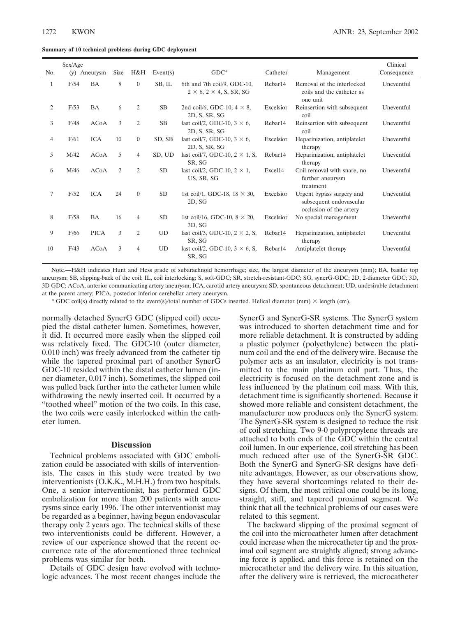**Summary of 10 technical problems during GDC deployment**

|     | Sex/Age |              |      |                |                 |                                                                        |                     |                                                                                 | Clinical    |
|-----|---------|--------------|------|----------------|-----------------|------------------------------------------------------------------------|---------------------|---------------------------------------------------------------------------------|-------------|
| No. |         | (v) Aneurysm | Size | H&H            | Event(s)        | $GDC^*$                                                                | Catheter            | Management                                                                      | Consequence |
| 1   | F/54    | <b>BA</b>    | 8    | $\overline{0}$ | SB, IL          | 6th and 7th coil/9, GDC-10,<br>$2 \times 6$ , $2 \times 4$ , S, SR, SG | Rebar14             | Removal of the interlocked<br>coils and the catheter as<br>one unit             | Uneventful  |
| 2   | F/53    | BA           | 6    | $\overline{2}$ | SB              | 2nd coil/6, GDC-10, $4 \times 8$ ,<br>2D, S, SR, SG                    | Excelsior           | Reinsertion with subsequent<br>coil                                             | Uneventful  |
| 3   | F/48    | <b>ACoA</b>  | 3    | $\overline{2}$ | SB              | last coil/2, GDC-10, $3 \times 6$ ,<br>2D, S, SR, SG                   | Rebar14             | Reinsertion with subsequent<br>coil                                             | Uneventful  |
| 4   | F/61    | <b>ICA</b>   | 10   | $\overline{0}$ | SD, SB          | last coil/7, GDC-10, $3 \times 6$ ,<br>2D, S, SR, SG                   | Excelsior           | Heparinization, antiplatelet<br>therapy                                         | Uneventful  |
| 5   | M/42    | <b>ACoA</b>  | 5    | $\overline{4}$ | SD, UD          | last coil/7, GDC-10, $2 \times 1$ , S,<br>SR, SG                       | Rebar14             | Heparinization, antiplatelet<br>therapy                                         | Uneventful  |
| 6   | M/46    | <b>ACoA</b>  | 2    | $\overline{2}$ | <b>SD</b>       | last coil/2, GDC-10, $2 \times 1$ ,<br>US, SR, SG                      | Excel14             | Coil removal with snare, no<br>further aneurysm<br>treatment                    | Uneventful  |
| 7   | F/52    | <b>ICA</b>   | 24   | $\overline{0}$ | <b>SD</b>       | 1st coil/1, GDC-18, $18 \times 30$ ,<br>2D, SG                         | Excelsior           | Urgent bypass surgery and<br>subsequent endovascular<br>occlusion of the artery | Uneventful  |
| 8   | F/58    | <b>BA</b>    | 16   | $\overline{4}$ | SD <sub>1</sub> | 1st coil/16, GDC-10, $8 \times 20$ ,<br>3D, SG                         | Excelsior           | No special management                                                           | Uneventful  |
| 9   | F/66    | <b>PICA</b>  | 3    | $\overline{2}$ | <b>UD</b>       | last coil/3, GDC-10, $2 \times 2$ , S,<br>SR, SG                       | Rebar <sub>14</sub> | Heparinization, antiplatelet<br>therapy                                         | Uneventful  |
| 10  | F/43    | <b>ACoA</b>  | 3    | $\overline{4}$ | UD              | last coil/2, GDC-10, $3 \times 6$ , S,<br>SR, SG                       | Rebar14             | Antiplatelet therapy                                                            | Uneventful  |

Note.—H&H indicates Hunt and Hess grade of subarachnoid hemorrhage; size, the largest diameter of the aneurysm (mm); BA, basilar top aneurysm; SB, slipping-back of the coil; IL, coil interlocking; S, soft-GDC; SR, stretch-resistant-GDC; SG, synerG-GDC; 2D, 2-diameter GDC; 3D, 3D GDC; ACoA, anterior communicating artery aneurysm; ICA, carotid artery aneurysm; SD, spontaneous detachment; UD, undesirable detachment at the parent artery; PICA, posterior inferior cerebellar artery aneurysm.

\* GDC coil(s) directly related to the event(s)/total number of GDCs inserted. Helical diameter (mm)  $\times$  length (cm).

normally detached SynerG GDC (slipped coil) occupied the distal catheter lumen. Sometimes, however, it did. It occurred more easily when the slipped coil was relatively fixed. The GDC-10 (outer diameter, 0.010 inch) was freely advanced from the catheter tip while the tapered proximal part of another SynerG GDC-10 resided within the distal catheter lumen (inner diameter, 0.017 inch). Sometimes, the slipped coil was pulled back further into the catheter lumen while withdrawing the newly inserted coil. It occurred by a "toothed wheel" motion of the two coils. In this case, the two coils were easily interlocked within the catheter lumen.

# **Discussion**

Technical problems associated with GDC embolization could be associated with skills of interventionists. The cases in this study were treated by two interventionists (O.K.K., M.H.H.) from two hospitals. One, a senior interventionist, has performed GDC embolization for more than 200 patients with aneurysms since early 1996. The other interventionist may be regarded as a beginner, having begun endovascular therapy only 2 years ago. The technical skills of these two interventionists could be different. However, a review of our experience showed that the recent occurrence rate of the aforementioned three technical problems was similar for both.

Details of GDC design have evolved with technologic advances. The most recent changes include the SynerG and SynerG-SR systems. The SynerG system was introduced to shorten detachment time and for more reliable detachment. It is constructed by adding a plastic polymer (polyethylene) between the platinum coil and the end of the delivery wire. Because the polymer acts as an insulator, electricity is not transmitted to the main platinum coil part. Thus, the electricity is focused on the detachment zone and is less influenced by the platinum coil mass. With this, detachment time is significantly shortened. Because it showed more reliable and consistent detachment, the manufacturer now produces only the SynerG system. The SynerG-SR system is designed to reduce the risk of coil stretching. Two 9-0 polypropylene threads are attached to both ends of the GDC within the central coil lumen. In our experience, coil stretching has been much reduced after use of the SynerG-SR GDC. Both the SynerG and SynerG-SR designs have definite advantages. However, as our observations show, they have several shortcomings related to their designs. Of them, the most critical one could be its long, straight, stiff, and tapered proximal segment. We think that all the technical problems of our cases were related to this segment.

The backward slipping of the proximal segment of the coil into the microcatheter lumen after detachment could increase when the microcatheter tip and the proximal coil segment are straightly aligned; strong advancing force is applied, and this force is retained on the microcatheter and the delivery wire. In this situation, after the delivery wire is retrieved, the microcatheter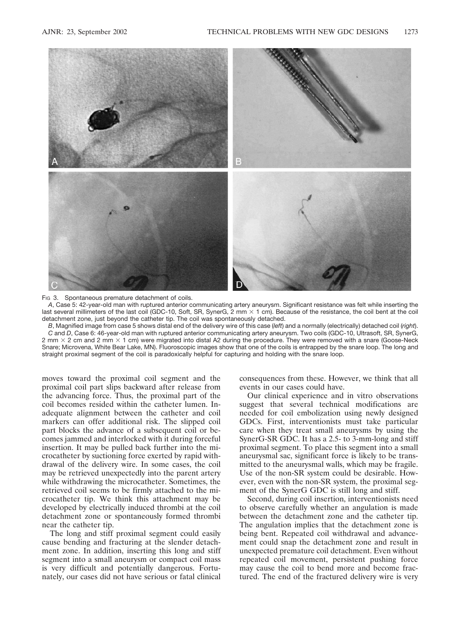![](_page_4_Figure_2.jpeg)

Fig. 3. Spontaneous premature detachment of coils.

*A*, Case 5: 42-year-old man with ruptured anterior communicating artery aneurysm. Significant resistance was felt while inserting the last several millimeters of the last coil (GDC-10, Soft, SR, SynerG,  $2 \text{ mm} \times 1 \text{ cm}$ ). Because of the resistance, the coil bent at the coil detachment zone, just beyond the catheter tip. The coil was spontaneously detached.

*B*, Magnified image from case 5 shows distal end of the delivery wire of this case (*left*) and a normally (electrically) detached coil (*right*). *C* and *D*, Case 6: 46-year-old man with ruptured anterior communicating artery aneurysm. Two coils (GDC-10, Ultrasoft, SR, SynerG, 2 mm  $\times$  2 cm and 2 mm  $\times$  1 cm) were migrated into distal A2 during the procedure. They were removed with a snare (Goose-Neck Snare; Microvena, White Bear Lake, MN). Fluoroscopic images show that one of the coils is entrapped by the snare loop. The long and straight proximal segment of the coil is paradoxically helpful for capturing and holding with the snare loop.

moves toward the proximal coil segment and the proximal coil part slips backward after release from the advancing force. Thus, the proximal part of the coil becomes resided within the catheter lumen. Inadequate alignment between the catheter and coil markers can offer additional risk. The slipped coil part blocks the advance of a subsequent coil or becomes jammed and interlocked with it during forceful insertion. It may be pulled back further into the microcatheter by suctioning force exerted by rapid withdrawal of the delivery wire. In some cases, the coil may be retrieved unexpectedly into the parent artery while withdrawing the microcatheter. Sometimes, the retrieved coil seems to be firmly attached to the microcatheter tip. We think this attachment may be developed by electrically induced thrombi at the coil detachment zone or spontaneously formed thrombi near the catheter tip.

The long and stiff proximal segment could easily cause bending and fracturing at the slender detachment zone. In addition, inserting this long and stiff segment into a small aneurysm or compact coil mass is very difficult and potentially dangerous. Fortunately, our cases did not have serious or fatal clinical

consequences from these. However, we think that all events in our cases could have.

Our clinical experience and in vitro observations suggest that several technical modifications are needed for coil embolization using newly designed GDCs. First, interventionists must take particular care when they treat small aneurysms by using the SynerG-SR GDC. It has a 2.5- to 3-mm-long and stiff proximal segment. To place this segment into a small aneurysmal sac, significant force is likely to be transmitted to the aneurysmal walls, which may be fragile. Use of the non-SR system could be desirable. However, even with the non-SR system, the proximal segment of the SynerG GDC is still long and stiff.

Second, during coil insertion, interventionists need to observe carefully whether an angulation is made between the detachment zone and the catheter tip. The angulation implies that the detachment zone is being bent. Repeated coil withdrawal and advancement could snap the detachment zone and result in unexpected premature coil detachment. Even without repeated coil movement, persistent pushing force may cause the coil to bend more and become fractured. The end of the fractured delivery wire is very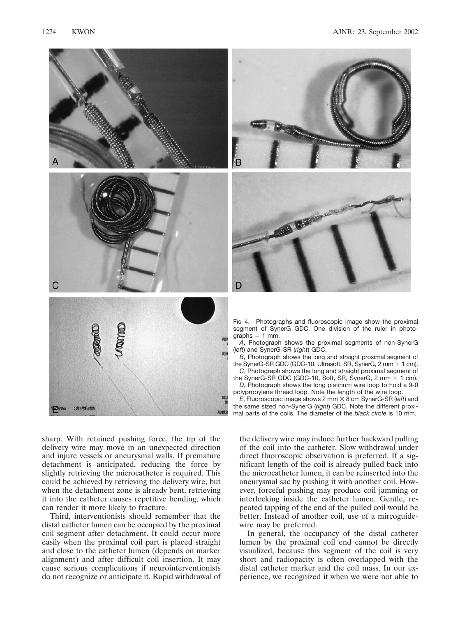![](_page_5_Picture_2.jpeg)

sharp. With retained pushing force, the tip of the delivery wire may move in an unexpected direction and injure vessels or aneurysmal walls. If premature detachment is anticipated, reducing the force by slightly retrieving the microcatheter is required. This could be achieved by retrieving the delivery wire, but when the detachment zone is already bent, retrieving it into the catheter causes repetitive bending, which can render it more likely to fracture.

18827883

Third, interventionists should remember that the distal catheter lumen can be occupied by the proximal coil segment after detachment. It could occur more easily when the proximal coil part is placed straight and close to the catheter lumen (depends on marker alignment) and after difficult coil insertion. It may cause serious complications if neurointerventionists do not recognize or anticipate it. Rapid withdrawal of

![](_page_5_Picture_5.jpeg)

![](_page_5_Picture_6.jpeg)

FIG 4. Photographs and fluoroscopic image show the proximal segment of SynerG GDC. One division of the ruler in photo $graphs = 1 mm$ .

*A*, Photograph shows the proximal segments of non-SynerG (*left*) and SynerG-SR (*right*) GDC.

*B*, Photograph shows the long and straight proximal segment of the SynerG-SR GDC (GDC-10, Ultrasoft, SR, SynerG, 2 mm  $\times$  1 cm).

*C*, Photograph shows the long and straight proximal segment of the SynerG-SR GDC (GDC-10, Soft, SR, SynerG, 2 mm  $\times$  1 cm). *D*, Photograph shows the long platinum wire loop to hold a 9-0

polypropylene thread loop. Note the length of the wire loop.  $E$ , Fluoroscopic image shows 2 mm  $\times$  8 cm SynerG-SR (*left*) and the same sized non-SynerG (*right*) GDC. Note the different proximal parts of the coils. The diameter of the *black circle* is 10 mm.

the delivery wire may induce further backward pulling of the coil into the catheter. Slow withdrawal under direct fluoroscopic observation is preferred. If a significant length of the coil is already pulled back into the microcatheter lumen, it can be reinserted into the aneurysmal sac by pushing it with another coil. However, forceful pushing may produce coil jamming or interlocking inside the catheter lumen. Gentle, repeated tapping of the end of the pulled coil would be better. Instead of another coil, use of a mircoguidewire may be preferred.

In general, the occupancy of the distal catheter lumen by the proximal coil end cannot be directly visualized, because this segment of the coil is very short and radiopacity is often overlapped with the distal catheter marker and the coil mass. In our experience, we recognized it when we were not able to